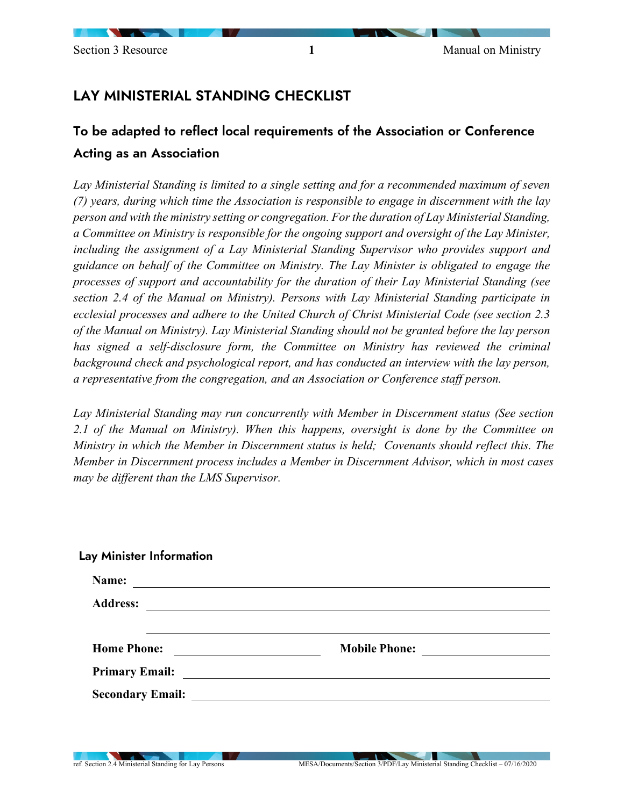## LAY MINISTERIAL STANDING CHECKLIST

## To be adapted to reflect local requirements of the Association or Conference Acting as an Association

*Lay Ministerial Standing is limited to a single setting and for a recommended maximum of seven (7) years, during which time the Association is responsible to engage in discernment with the lay person and with the ministry setting or congregation. For the duration of Lay Ministerial Standing, a Committee on Ministry is responsible for the ongoing support and oversight of the Lay Minister, including the assignment of a Lay Ministerial Standing Supervisor who provides support and guidance on behalf of the Committee on Ministry. The Lay Minister is obligated to engage the processes of support and accountability for the duration of their Lay Ministerial Standing (see section 2.4 of the Manual on Ministry). Persons with Lay Ministerial Standing participate in ecclesial processes and adhere to the United Church of Christ Ministerial Code (see section 2.3 of the Manual on Ministry). Lay Ministerial Standing should not be granted before the lay person has signed a self-disclosure form, the Committee on Ministry has reviewed the criminal background check and psychological report, and has conducted an interview with the lay person, a representative from the congregation, and an Association or Conference staff person.*

*Lay Ministerial Standing may run concurrently with Member in Discernment status (See section 2.1 of the Manual on Ministry). When this happens, oversight is done by the Committee on Ministry in which the Member in Discernment status is held; Covenants should reflect this. The Member in Discernment process includes a Member in Discernment Advisor, which in most cases may be different than the LMS Supervisor.* 

| Name:                                                                                                                                      |                                                                                                                      |
|--------------------------------------------------------------------------------------------------------------------------------------------|----------------------------------------------------------------------------------------------------------------------|
| <b>Address:</b>                                                                                                                            |                                                                                                                      |
|                                                                                                                                            |                                                                                                                      |
| <b>Home Phone:</b><br><u> 1980 - Jan Samuel Barbara, politik eta politik eta politik eta politik eta politik eta politik eta politik e</u> | <b>Mobile Phone:</b>                                                                                                 |
| <b>Primary Email:</b>                                                                                                                      | <u> 1980 - Andrea Albert III, politik a postal de la provincia de la provincia de la provincia de la provincia d</u> |
|                                                                                                                                            |                                                                                                                      |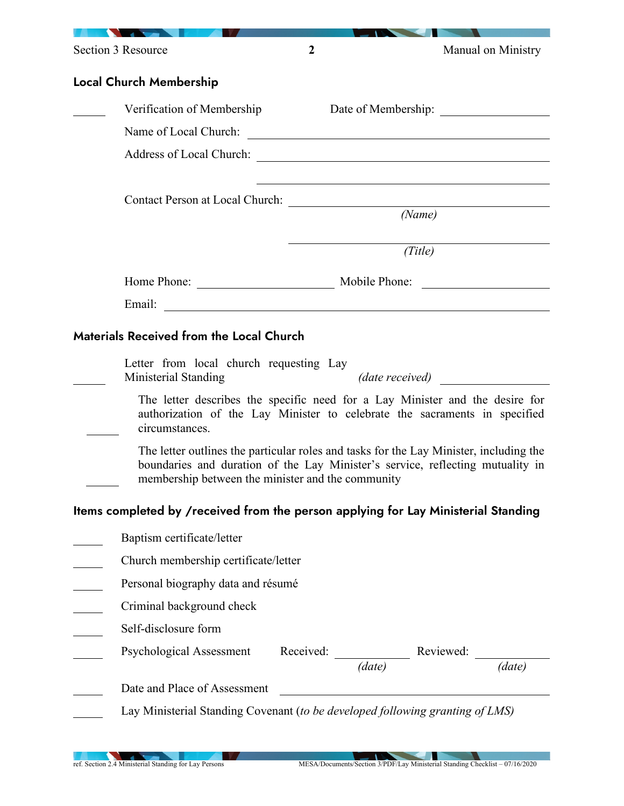| Section 3 Resource                                                                                                                                                                                                                   | $\boldsymbol{2}$ |                                        |         | Manual on Ministry |
|--------------------------------------------------------------------------------------------------------------------------------------------------------------------------------------------------------------------------------------|------------------|----------------------------------------|---------|--------------------|
| Local Church Membership                                                                                                                                                                                                              |                  |                                        |         |                    |
| Verification of Membership                                                                                                                                                                                                           |                  |                                        |         |                    |
|                                                                                                                                                                                                                                      |                  |                                        |         |                    |
|                                                                                                                                                                                                                                      |                  |                                        |         |                    |
|                                                                                                                                                                                                                                      |                  |                                        |         |                    |
| Contact Person at Local Church:                                                                                                                                                                                                      |                  |                                        |         |                    |
|                                                                                                                                                                                                                                      |                  |                                        | (Name)  |                    |
|                                                                                                                                                                                                                                      |                  |                                        | (Title) |                    |
|                                                                                                                                                                                                                                      |                  |                                        |         |                    |
|                                                                                                                                                                                                                                      |                  |                                        |         |                    |
| Email: <u>Alexander Alexander and Alexander and Alexander and Alexander and Alexander and Alexander and Alexander and Alexander and Alexander and Alexander and Alexander and Alexander and Alexander and Alexander and Alexande</u> |                  |                                        |         |                    |
| <b>Materials Received from the Local Church</b>                                                                                                                                                                                      |                  |                                        |         |                    |
| Letter from local church requesting Lay<br>Ministerial Standing                                                                                                                                                                      |                  | (date received)                        |         |                    |
| The letter describes the specific need for a Lay Minister and the desire for<br>authorization of the Lay Minister to celebrate the sacraments in specified<br>circumstances.                                                         |                  |                                        |         |                    |
| The letter outlines the particular roles and tasks for the Lay Minister, including the<br>boundaries and duration of the Lay Minister's service, reflecting mutuality in<br>membership between the minister and the community        |                  |                                        |         |                    |
| Items completed by /received from the person applying for Lay Ministerial Standing                                                                                                                                                   |                  |                                        |         |                    |
| Baptism certificate/letter                                                                                                                                                                                                           |                  |                                        |         |                    |
| Church membership certificate/letter                                                                                                                                                                                                 |                  |                                        |         |                    |
| Personal biography data and résumé                                                                                                                                                                                                   |                  |                                        |         |                    |
| Criminal background check                                                                                                                                                                                                            |                  |                                        |         |                    |
| Self-disclosure form                                                                                                                                                                                                                 |                  |                                        |         |                    |
| <b>Psychological Assessment</b>                                                                                                                                                                                                      |                  | Received: $\frac{1}{(date)}$ Reviewed: |         |                    |
|                                                                                                                                                                                                                                      |                  |                                        |         | (date)             |
| Date and Place of Assessment                                                                                                                                                                                                         |                  |                                        |         |                    |
| Lay Ministerial Standing Covenant (to be developed following granting of LMS)                                                                                                                                                        |                  |                                        |         |                    |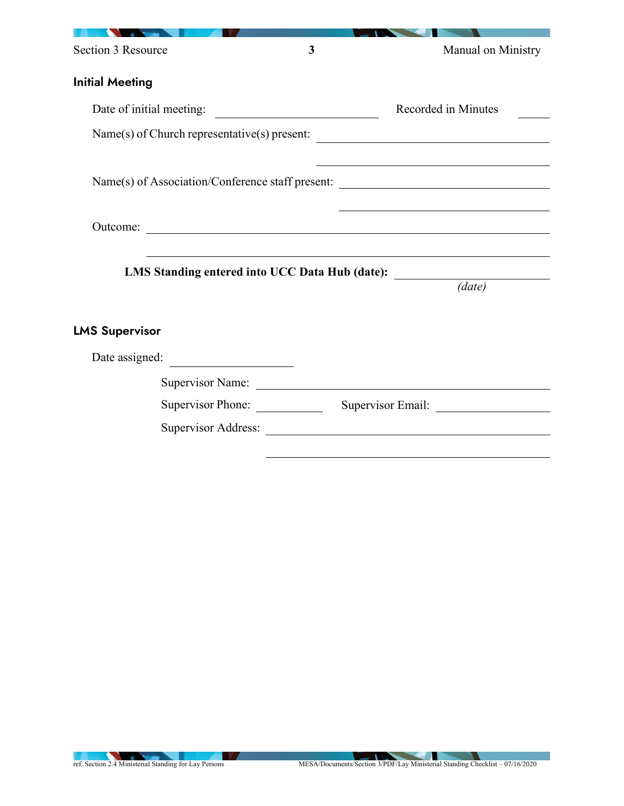| Section 3 Resource                           | 3                                                                                                                     | Manual on Ministry                                                                         |
|----------------------------------------------|-----------------------------------------------------------------------------------------------------------------------|--------------------------------------------------------------------------------------------|
| <b>Initial Meeting</b>                       |                                                                                                                       |                                                                                            |
| Date of initial meeting:                     |                                                                                                                       | Recorded in Minutes                                                                        |
| Name(s) of Church representative(s) present: |                                                                                                                       |                                                                                            |
|                                              |                                                                                                                       |                                                                                            |
|                                              |                                                                                                                       | Name(s) of Association/Conference staff present: _______________________________           |
|                                              |                                                                                                                       |                                                                                            |
| Outcome:                                     | <u> 1989 - Johann Stoff, deutscher Stoffen und der Stoffen und der Stoffen und der Stoffen und der Stoffen und de</u> |                                                                                            |
|                                              |                                                                                                                       |                                                                                            |
|                                              |                                                                                                                       | LMS Standing entered into UCC Data Hub (date): _________________________________<br>(data) |
|                                              |                                                                                                                       |                                                                                            |
| <b>LMS Supervisor</b>                        |                                                                                                                       |                                                                                            |
| Date assigned:                               |                                                                                                                       |                                                                                            |
|                                              |                                                                                                                       |                                                                                            |
| Supervisor Phone:                            |                                                                                                                       | Supervisor Email:                                                                          |
|                                              |                                                                                                                       | Supervisor Address:                                                                        |
|                                              |                                                                                                                       |                                                                                            |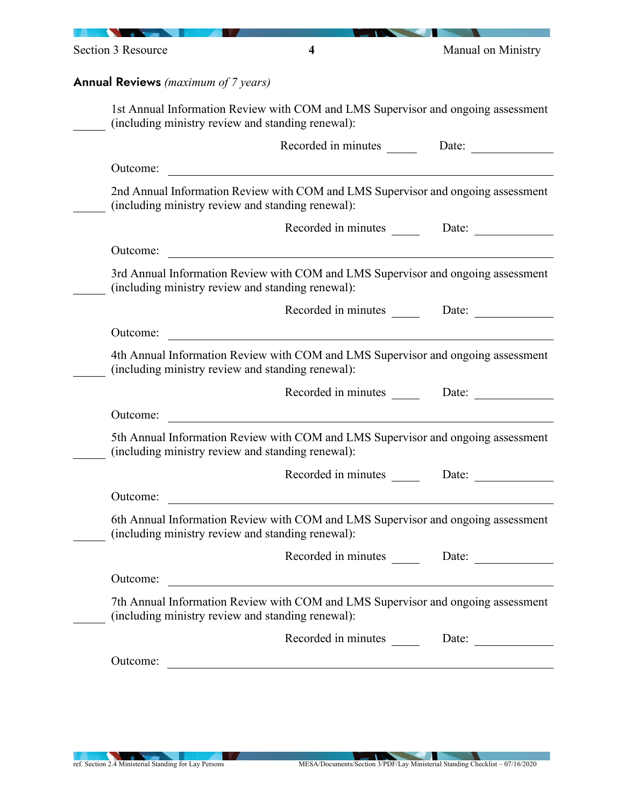|          | <b>Annual Reviews</b> (maximum of 7 years)                                                                                            |       |
|----------|---------------------------------------------------------------------------------------------------------------------------------------|-------|
|          | 1st Annual Information Review with COM and LMS Supervisor and ongoing assessment<br>(including ministry review and standing renewal): |       |
|          |                                                                                                                                       |       |
| Outcome: | <u> 1980 - Jan Samuel Barbara, martin di</u>                                                                                          |       |
|          | 2nd Annual Information Review with COM and LMS Supervisor and ongoing assessment<br>(including ministry review and standing renewal): |       |
|          | Recorded in minutes Date:                                                                                                             |       |
| Outcome: | <u> 1980 - Jan Samuel Barbara, martin di sebagai personal di sebagai personal di sebagai personal di sebagai per</u>                  |       |
|          | 3rd Annual Information Review with COM and LMS Supervisor and ongoing assessment<br>(including ministry review and standing renewal): |       |
|          |                                                                                                                                       |       |
| Outcome: |                                                                                                                                       |       |
|          | 4th Annual Information Review with COM and LMS Supervisor and ongoing assessment<br>(including ministry review and standing renewal): |       |
|          | Recorded in minutes Date:                                                                                                             |       |
| Outcome: |                                                                                                                                       |       |
|          | 5th Annual Information Review with COM and LMS Supervisor and ongoing assessment<br>(including ministry review and standing renewal): |       |
|          | Recorded in minutes                                                                                                                   | Date: |
| Outcome: |                                                                                                                                       |       |
|          | 6th Annual Information Review with COM and LMS Supervisor and ongoing assessment<br>(including ministry review and standing renewal): |       |
|          | Recorded in minutes Date:                                                                                                             |       |
| Outcome: |                                                                                                                                       |       |
|          | 7th Annual Information Review with COM and LMS Supervisor and ongoing assessment<br>(including ministry review and standing renewal): |       |
|          | Recorded in minutes ________ Date: ________                                                                                           |       |
| Outcome: | <u> 1989 - John Stein, Amerikaansk politiker (</u> † 1920)                                                                            |       |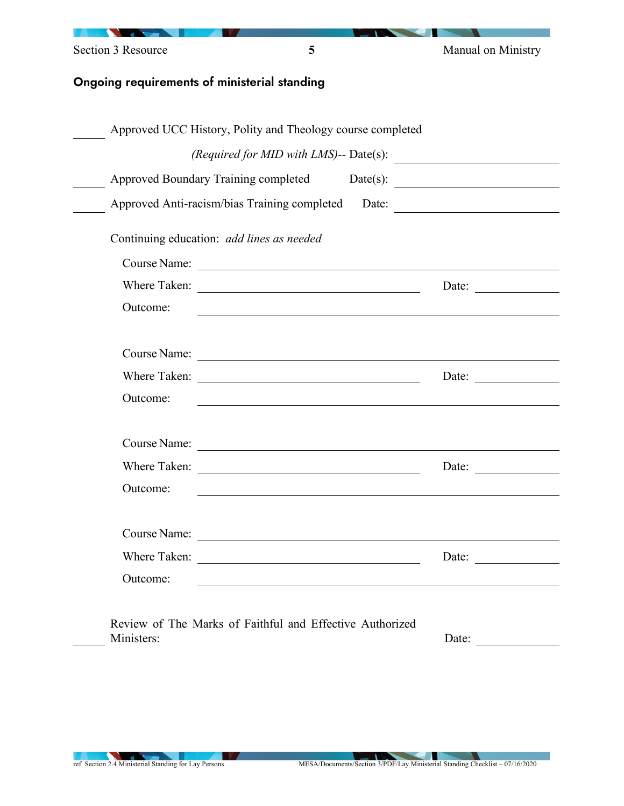| Section 3 Resource | 5                                                          | Manual on Ministry           |
|--------------------|------------------------------------------------------------|------------------------------|
|                    | Ongoing requirements of ministerial standing               |                              |
|                    |                                                            |                              |
|                    | Approved UCC History, Polity and Theology course completed |                              |
|                    | (Required for MID with LMS)-- Date(s):                     |                              |
|                    | Approved Boundary Training completed                       | Date(s): $\qquad \qquad$     |
|                    | Approved Anti-racism/bias Training completed               | Date:                        |
|                    | Continuing education: add lines as needed                  |                              |
|                    |                                                            |                              |
|                    | Where Taken:                                               | Date:                        |
| Outcome:           |                                                            |                              |
|                    |                                                            |                              |
|                    |                                                            |                              |
|                    |                                                            | Date:                        |
| Outcome:           |                                                            |                              |
|                    |                                                            |                              |
| Where Taken:       |                                                            | Date:                        |
| Outcome:           |                                                            |                              |
|                    |                                                            |                              |
|                    |                                                            |                              |
|                    |                                                            | Date: $\qquad \qquad \qquad$ |
| Outcome:           |                                                            |                              |
|                    |                                                            |                              |
| Ministers:         | Review of The Marks of Faithful and Effective Authorized   | Date:                        |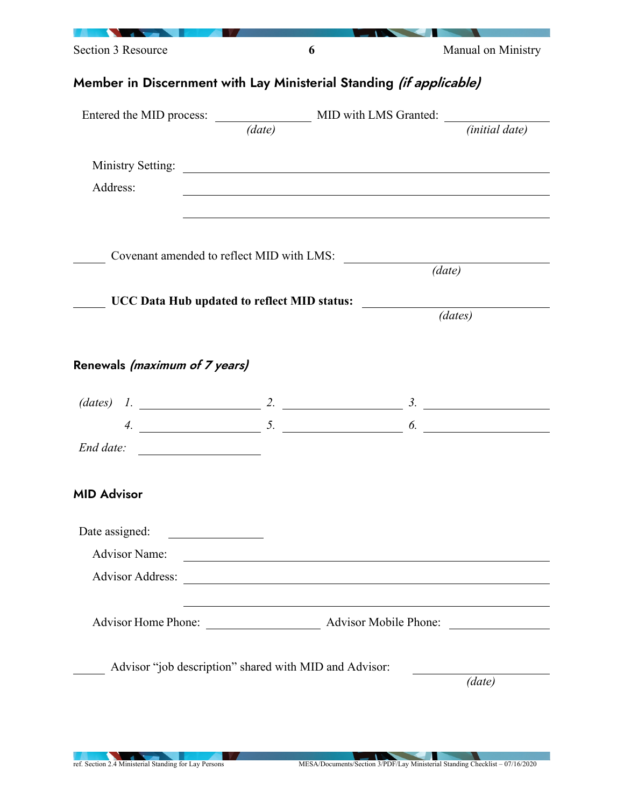| Section 3 Resource                                                               | 6 |                                                                                                                        | Manual on Ministry                                                                                                                                                                                                                   |  |
|----------------------------------------------------------------------------------|---|------------------------------------------------------------------------------------------------------------------------|--------------------------------------------------------------------------------------------------------------------------------------------------------------------------------------------------------------------------------------|--|
| Member in Discernment with Lay Ministerial Standing <i>(if applicable)</i>       |   |                                                                                                                        |                                                                                                                                                                                                                                      |  |
| Entered the MID process: $\frac{MID \text{ with } LMS \text{ Granted:}}{(data)}$ |   |                                                                                                                        |                                                                                                                                                                                                                                      |  |
|                                                                                  |   |                                                                                                                        |                                                                                                                                                                                                                                      |  |
|                                                                                  |   |                                                                                                                        |                                                                                                                                                                                                                                      |  |
| Address:                                                                         |   |                                                                                                                        |                                                                                                                                                                                                                                      |  |
|                                                                                  |   |                                                                                                                        |                                                                                                                                                                                                                                      |  |
|                                                                                  |   |                                                                                                                        |                                                                                                                                                                                                                                      |  |
|                                                                                  |   | Covenant amended to reflect MID with LMS:                                                                              | (data)                                                                                                                                                                                                                               |  |
|                                                                                  |   |                                                                                                                        |                                                                                                                                                                                                                                      |  |
| UCC Data Hub updated to reflect MID status:                                      |   |                                                                                                                        | (dates)                                                                                                                                                                                                                              |  |
|                                                                                  |   |                                                                                                                        |                                                                                                                                                                                                                                      |  |
|                                                                                  |   |                                                                                                                        |                                                                                                                                                                                                                                      |  |
| Renewals (maximum of 7 years)                                                    |   |                                                                                                                        |                                                                                                                                                                                                                                      |  |
|                                                                                  |   |                                                                                                                        |                                                                                                                                                                                                                                      |  |
|                                                                                  |   |                                                                                                                        |                                                                                                                                                                                                                                      |  |
| $End$ date: $\qquad \qquad$                                                      |   |                                                                                                                        |                                                                                                                                                                                                                                      |  |
|                                                                                  |   |                                                                                                                        |                                                                                                                                                                                                                                      |  |
| <b>MID Advisor</b>                                                               |   |                                                                                                                        |                                                                                                                                                                                                                                      |  |
|                                                                                  |   |                                                                                                                        |                                                                                                                                                                                                                                      |  |
| Date assigned:                                                                   |   |                                                                                                                        |                                                                                                                                                                                                                                      |  |
| <b>Advisor Name:</b>                                                             |   | <u> 1989 - Johann Stoff, deutscher Stoffen und der Stoffen und der Stoffen und der Stoffen und der Stoffen und der</u> |                                                                                                                                                                                                                                      |  |
| <b>Advisor Address:</b>                                                          |   | <u> 1989 - Johann Stoff, deutscher Stoffen und der Stoffen und der Stoffen und der Stoffen und der Stoffen und der</u> |                                                                                                                                                                                                                                      |  |
|                                                                                  |   |                                                                                                                        | <u> The Communication of the Communication of the Communication of the Communication of the Communication of the Communication of the Communication of the Communication of the Communication of the Communication of the Commun</u> |  |
|                                                                                  |   |                                                                                                                        |                                                                                                                                                                                                                                      |  |
| Advisor "job description" shared with MID and Advisor:                           |   |                                                                                                                        |                                                                                                                                                                                                                                      |  |
|                                                                                  |   |                                                                                                                        | (data)                                                                                                                                                                                                                               |  |